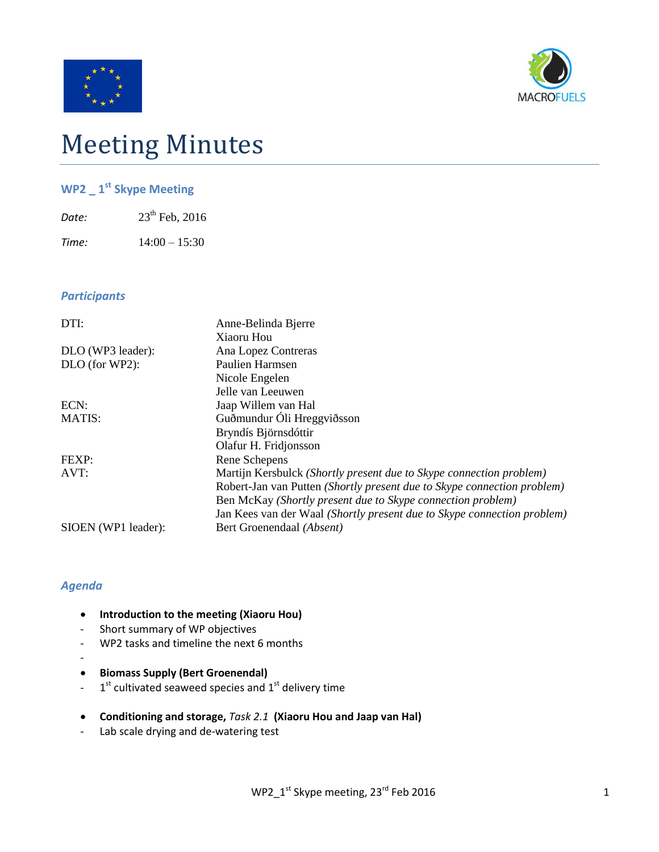



# Meeting Minutes

# **WP2 \_ 1 st Skype Meeting**

| Date: | $23^{th}$ Feb, 2016 |
|-------|---------------------|
|       |                     |

*Time:* 14:00 – 15:30

### *Participants*

| DTI:                | Anne-Belinda Bjerre                                                     |
|---------------------|-------------------------------------------------------------------------|
|                     | Xiaoru Hou                                                              |
| DLO (WP3 leader):   | Ana Lopez Contreras                                                     |
| DLO (for WP2):      | Paulien Harmsen                                                         |
|                     | Nicole Engelen                                                          |
|                     | Jelle van Leeuwen                                                       |
| ECN:                | Jaap Willem van Hal                                                     |
| <b>MATIS:</b>       | Guðmundur Óli Hreggviðsson                                              |
|                     | Bryndís Björnsdóttir                                                    |
|                     | Olafur H. Fridjonsson                                                   |
| FEXP:               | Rene Schepens                                                           |
| AVT:                | Martijn Kersbulck (Shortly present due to Skype connection problem)     |
|                     | Robert-Jan van Putten (Shortly present due to Skype connection problem) |
|                     | Ben McKay (Shortly present due to Skype connection problem)             |
|                     | Jan Kees van der Waal (Shortly present due to Skype connection problem) |
| SIOEN (WP1 leader): | Bert Groenendaal (Absent)                                               |

## *Agenda*

- **Introduction to the meeting (Xiaoru Hou)**
- Short summary of WP objectives
- WP2 tasks and timeline the next 6 months
- -
- **Biomass Supply (Bert Groenendal)**
- $-1$ <sup>st</sup> cultivated seaweed species and  $1<sup>st</sup>$  delivery time
- **Conditioning and storage,** *Task 2.1* **(Xiaoru Hou and Jaap van Hal)**
- Lab scale drying and de-watering test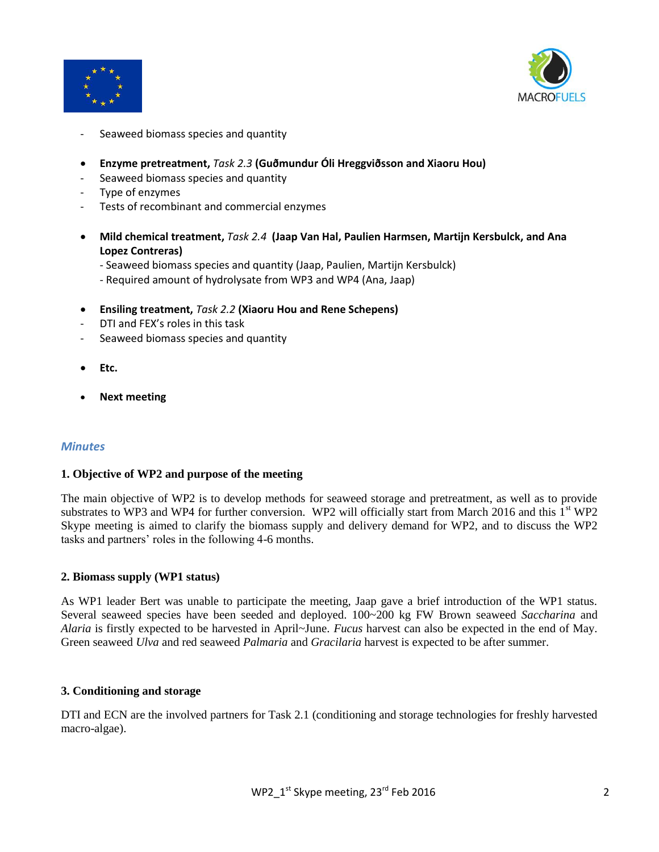



- Seaweed biomass species and quantity
- **Enzyme pretreatment,** *Task 2.3* **(Guðmundur Óli Hreggviðsson and Xiaoru Hou)**
- Seaweed biomass species and quantity
- Type of enzymes
- Tests of recombinant and commercial enzymes
- **Mild chemical treatment,** *Task 2.4* **(Jaap Van Hal, Paulien Harmsen, Martijn Kersbulck, and Ana Lopez Contreras)**
	- Seaweed biomass species and quantity (Jaap, Paulien, Martijn Kersbulck)
	- Required amount of hydrolysate from WP3 and WP4 (Ana, Jaap)
- **Ensiling treatment,** *Task 2.2* **(Xiaoru Hou and Rene Schepens)**
- DTI and FEX's roles in this task
- Seaweed biomass species and quantity
- **Etc.**
- **Next meeting**

#### *Minutes*

#### **1. Objective of WP2 and purpose of the meeting**

The main objective of WP2 is to develop methods for seaweed storage and pretreatment, as well as to provide substrates to WP3 and WP4 for further conversion. WP2 will officially start from March 2016 and this 1<sup>st</sup> WP2 Skype meeting is aimed to clarify the biomass supply and delivery demand for WP2, and to discuss the WP2 tasks and partners' roles in the following 4-6 months.

#### **2. Biomass supply (WP1 status)**

As WP1 leader Bert was unable to participate the meeting, Jaap gave a brief introduction of the WP1 status. Several seaweed species have been seeded and deployed. 100~200 kg FW Brown seaweed *Saccharina* and *Alaria* is firstly expected to be harvested in April~June. *Fucus* harvest can also be expected in the end of May. Green seaweed *Ulva* and red seaweed *Palmaria* and *Gracilaria* harvest is expected to be after summer.

#### **3. Conditioning and storage**

DTI and ECN are the involved partners for Task 2.1 (conditioning and storage technologies for freshly harvested macro-algae).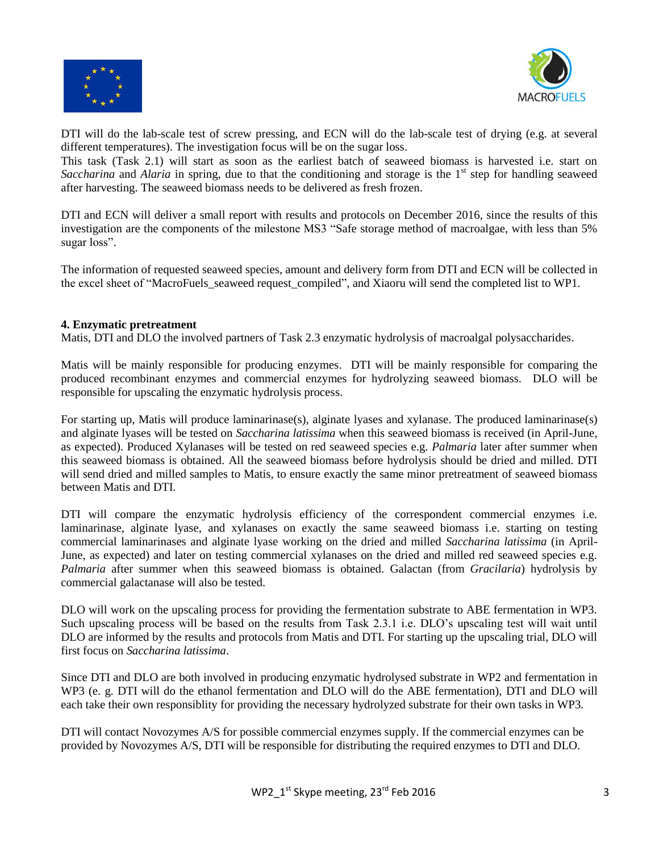



DTI will do the lab-scale test of screw pressing, and ECN will do the lab-scale test of drying (e.g. at several different temperatures). The investigation focus will be on the sugar loss.

This task (Task 2.1) will start as soon as the earliest batch of seaweed biomass is harvested i.e. start on *Saccharina* and *Alaria* in spring, due to that the conditioning and storage is the 1<sup>st</sup> step for handling seaweed after harvesting. The seaweed biomass needs to be delivered as fresh frozen.

DTI and ECN will deliver a small report with results and protocols on December 2016, since the results of this investigation are the components of the milestone MS3 "Safe storage method of macroalgae, with less than 5% sugar loss".

The information of requested seaweed species, amount and delivery form from DTI and ECN will be collected in the excel sheet of "MacroFuels\_seaweed request\_compiled", and Xiaoru will send the completed list to WP1.

#### **4. Enzymatic pretreatment**

Matis, DTI and DLO the involved partners of Task 2.3 enzymatic hydrolysis of macroalgal polysaccharides.

Matis will be mainly responsible for producing enzymes. DTI will be mainly responsible for comparing the produced recombinant enzymes and commercial enzymes for hydrolyzing seaweed biomass. DLO will be responsible for upscaling the enzymatic hydrolysis process.

For starting up, Matis will produce laminarinase(s), alginate lyases and xylanase. The produced laminarinase(s) and alginate lyases will be tested on *Saccharina latissima* when this seaweed biomass is received (in April-June, as expected). Produced Xylanases will be tested on red seaweed species e.g. *Palmaria* later after summer when this seaweed biomass is obtained. All the seaweed biomass before hydrolysis should be dried and milled. DTI will send dried and milled samples to Matis, to ensure exactly the same minor pretreatment of seaweed biomass between Matis and DTI.

DTI will compare the enzymatic hydrolysis efficiency of the correspondent commercial enzymes i.e. laminarinase, alginate lyase, and xylanases on exactly the same seaweed biomass i.e. starting on testing commercial laminarinases and alginate lyase working on the dried and milled *Saccharina latissima* (in April-June, as expected) and later on testing commercial xylanases on the dried and milled red seaweed species e.g. *Palmaria* after summer when this seaweed biomass is obtained. Galactan (from *Gracilaria*) hydrolysis by commercial galactanase will also be tested.

DLO will work on the upscaling process for providing the fermentation substrate to ABE fermentation in WP3. Such upscaling process will be based on the results from Task 2.3.1 i.e. DLO's upscaling test will wait until DLO are informed by the results and protocols from Matis and DTI. For starting up the upscaling trial, DLO will first focus on *Saccharina latissima*.

Since DTI and DLO are both involved in producing enzymatic hydrolysed substrate in WP2 and fermentation in WP3 (e. g. DTI will do the ethanol fermentation and DLO will do the ABE fermentation), DTI and DLO will each take their own responsiblity for providing the necessary hydrolyzed substrate for their own tasks in WP3.

DTI will contact Novozymes A/S for possible commercial enzymes supply. If the commercial enzymes can be provided by Novozymes A/S, DTI will be responsible for distributing the required enzymes to DTI and DLO.